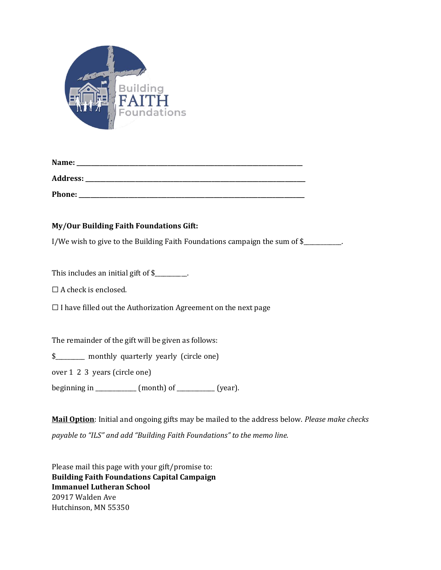

| Name: | _______ |
|-------|---------|
|       |         |

Address:

**Phone: \_\_\_\_\_\_\_\_\_\_\_\_\_\_\_\_\_\_\_\_\_\_\_\_\_\_\_\_\_\_\_\_\_\_\_\_\_\_\_\_\_\_\_\_\_\_\_\_\_\_\_\_\_\_\_\_\_\_\_\_\_\_\_\_\_\_\_\_\_\_\_\_\_\_\_\_\_**

## **My/Our Building Faith Foundations Gift:**

I/We wish to give to the Building Faith Foundations campaign the sum of \$

This includes an initial gift of \$\_\_\_\_\_\_\_\_.

 $\Box$  A check is enclosed.

 $\Box$  I have filled out the Authorization Agreement on the next page

The remainder of the gift will be given as follows:

\$\_\_\_\_\_\_\_\_\_\_\_\_ monthly quarterly yearly (circle one)

over 1 2 3 years (circle one)

beginning in \_\_\_\_\_\_\_\_\_\_\_\_\_\_ (month) of \_\_\_\_\_\_\_\_\_\_\_\_\_ (year).

**[Mail Option](http://www.apple.com/)**: Initial and ongoing gifts may be mailed to the address below. *Please make checks* 

*payable to "ILS" and add "Building Faith Foundations" to the memo line.*

Please mail this page with your gift/promise to: **Building Faith Foundations Capital Campaign Immanuel Lutheran School** 20917 Walden Ave Hutchinson, MN 55350